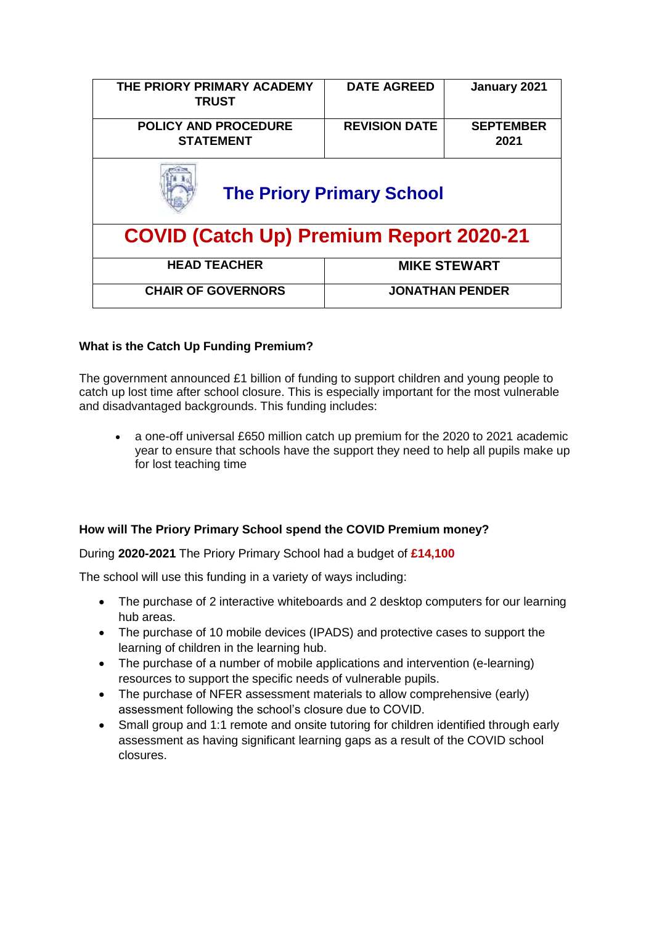| THE PRIORY PRIMARY ACADEMY<br><b>TRUST</b>      | <b>DATE AGREED</b>     | January 2021             |  |
|-------------------------------------------------|------------------------|--------------------------|--|
| <b>POLICY AND PROCEDURE</b><br><b>STATEMENT</b> | <b>REVISION DATE</b>   | <b>SEPTEMBER</b><br>2021 |  |
| <b>The Priory Primary School</b>                |                        |                          |  |
| <b>COVID (Catch Up) Premium Report 2020-21</b>  |                        |                          |  |
| <b>HEAD TEACHER</b>                             | <b>MIKE STEWART</b>    |                          |  |
| <b>CHAIR OF GOVERNORS</b>                       | <b>JONATHAN PENDER</b> |                          |  |

## **What is the Catch Up Funding Premium?**

The government announced £1 billion of funding to support children and young people to catch up lost time after school closure. This is especially important for the most vulnerable and disadvantaged backgrounds. This funding includes:

 a one-off universal £650 million catch up premium for the 2020 to 2021 academic year to ensure that schools have the support they need to help all pupils make up for lost teaching time

## **How will The Priory Primary School spend the COVID Premium money?**

During **2020-2021** The Priory Primary School had a budget of **£14,100**

The school will use this funding in a variety of ways including:

- The purchase of 2 interactive whiteboards and 2 desktop computers for our learning hub areas.
- The purchase of 10 mobile devices (IPADS) and protective cases to support the learning of children in the learning hub.
- The purchase of a number of mobile applications and intervention (e-learning) resources to support the specific needs of vulnerable pupils.
- The purchase of NFER assessment materials to allow comprehensive (early) assessment following the school's closure due to COVID.
- Small group and 1:1 remote and onsite tutoring for children identified through early assessment as having significant learning gaps as a result of the COVID school closures.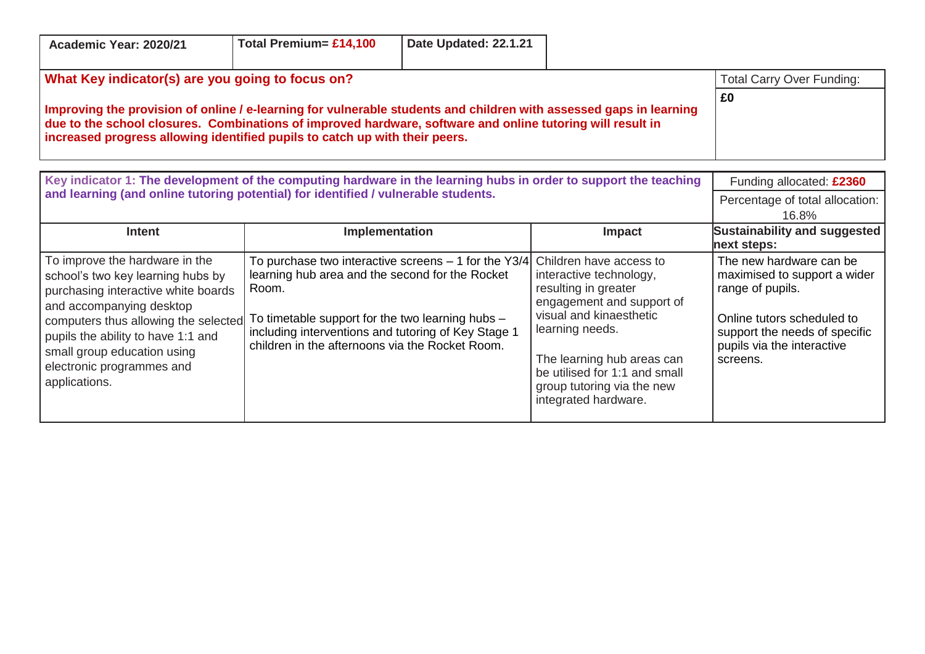| Academic Year: 2020/21                                                                                                                                                                                                                                                                                          | Total Premium= £14,100                                                                                                                                                                                                                                                                                    | Date Updated: 22.1.21 |                                                                                                                                                                                                                                                 |                                                                                                                                                                                      |
|-----------------------------------------------------------------------------------------------------------------------------------------------------------------------------------------------------------------------------------------------------------------------------------------------------------------|-----------------------------------------------------------------------------------------------------------------------------------------------------------------------------------------------------------------------------------------------------------------------------------------------------------|-----------------------|-------------------------------------------------------------------------------------------------------------------------------------------------------------------------------------------------------------------------------------------------|--------------------------------------------------------------------------------------------------------------------------------------------------------------------------------------|
| What Key indicator(s) are you going to focus on?                                                                                                                                                                                                                                                                |                                                                                                                                                                                                                                                                                                           |                       |                                                                                                                                                                                                                                                 | <b>Total Carry Over Funding:</b>                                                                                                                                                     |
| Improving the provision of online / e-learning for vulnerable students and children with assessed gaps in learning<br>due to the school closures. Combinations of improved hardware, software and online tutoring will result in<br>increased progress allowing identified pupils to catch up with their peers. |                                                                                                                                                                                                                                                                                                           |                       |                                                                                                                                                                                                                                                 | £0                                                                                                                                                                                   |
| Key indicator 1: The development of the computing hardware in the learning hubs in order to support the teaching                                                                                                                                                                                                |                                                                                                                                                                                                                                                                                                           |                       |                                                                                                                                                                                                                                                 | Funding allocated: £2360                                                                                                                                                             |
| and learning (and online tutoring potential) for identified / vulnerable students.                                                                                                                                                                                                                              |                                                                                                                                                                                                                                                                                                           |                       |                                                                                                                                                                                                                                                 | Percentage of total allocation:<br>16.8%                                                                                                                                             |
| <b>Intent</b>                                                                                                                                                                                                                                                                                                   | Implementation                                                                                                                                                                                                                                                                                            |                       | Impact                                                                                                                                                                                                                                          | Sustainability and suggested<br>next steps:                                                                                                                                          |
| To improve the hardware in the<br>school's two key learning hubs by<br>purchasing interactive white boards<br>and accompanying desktop<br>computers thus allowing the selected<br>pupils the ability to have 1:1 and<br>small group education using<br>electronic programmes and<br>applications.               | To purchase two interactive screens $-1$ for the Y3/4 Children have access to<br>learning hub area and the second for the Rocket<br>Room.<br>To timetable support for the two learning hubs $-$<br>including interventions and tutoring of Key Stage 1<br>children in the afternoons via the Rocket Room. |                       | interactive technology,<br>resulting in greater<br>engagement and support of<br>visual and kinaesthetic<br>learning needs.<br>The learning hub areas can<br>be utilised for 1:1 and small<br>group tutoring via the new<br>integrated hardware. | The new hardware can be<br>maximised to support a wider<br>range of pupils.<br>Online tutors scheduled to<br>support the needs of specific<br>pupils via the interactive<br>screens. |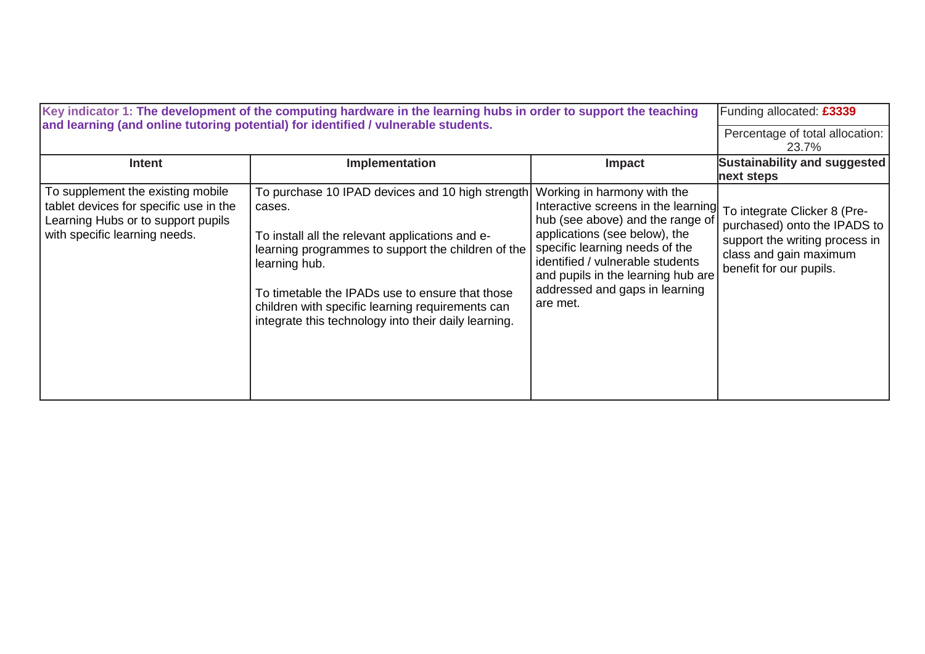| Key indicator 1: The development of the computing hardware in the learning hubs in order to support the teaching<br>and learning (and online tutoring potential) for identified / vulnerable students. | Funding allocated: £3339<br>Percentage of total allocation:<br>23.7%                                                                                                                                                                                                                                                                                |                                                                                                                                                                                                                                                                                                                                |                                                                                                                     |
|--------------------------------------------------------------------------------------------------------------------------------------------------------------------------------------------------------|-----------------------------------------------------------------------------------------------------------------------------------------------------------------------------------------------------------------------------------------------------------------------------------------------------------------------------------------------------|--------------------------------------------------------------------------------------------------------------------------------------------------------------------------------------------------------------------------------------------------------------------------------------------------------------------------------|---------------------------------------------------------------------------------------------------------------------|
| Intent                                                                                                                                                                                                 | Implementation                                                                                                                                                                                                                                                                                                                                      | <b>Impact</b>                                                                                                                                                                                                                                                                                                                  | <b>Sustainability and suggested</b><br>next steps                                                                   |
| To supplement the existing mobile<br>tablet devices for specific use in the<br>Learning Hubs or to support pupils<br>with specific learning needs.                                                     | To purchase 10 IPAD devices and 10 high strength<br>cases.<br>To install all the relevant applications and e-<br>learning programmes to support the children of the<br>learning hub.<br>To timetable the IPADs use to ensure that those<br>children with specific learning requirements can<br>integrate this technology into their daily learning. | Working in harmony with the<br>Interactive screens in the learning To integrate Clicker 8 (Pre-<br>hub (see above) and the range of<br>applications (see below), the<br>specific learning needs of the<br>identified / vulnerable students<br>and pupils in the learning hub are<br>addressed and gaps in learning<br>are met. | purchased) onto the IPADS to<br>support the writing process in<br>class and gain maximum<br>benefit for our pupils. |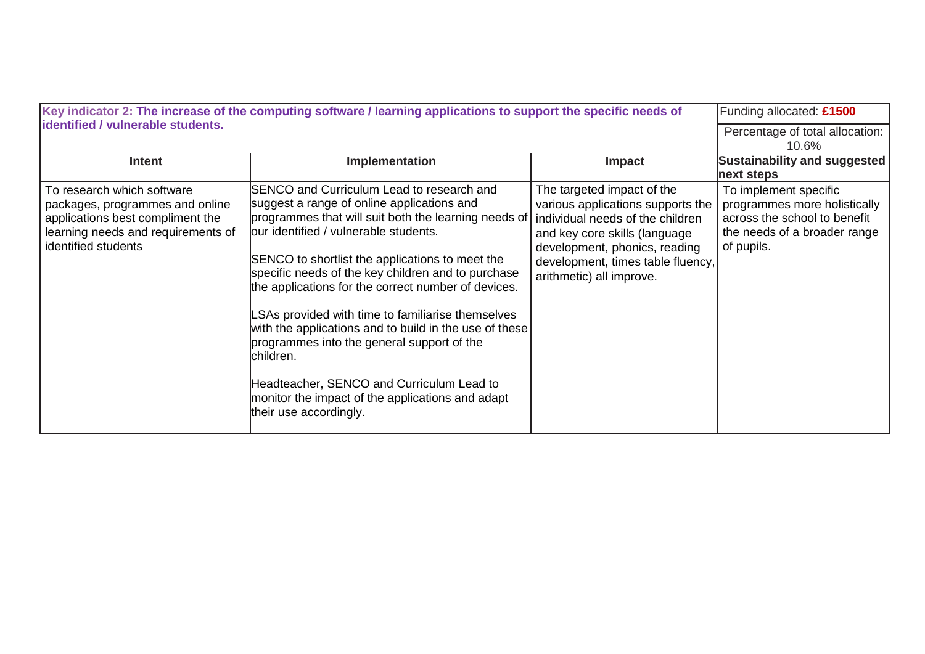| Key indicator 2: The increase of the computing software / learning applications to support the specific needs of                                               |                                                                                                                                                                                                                                                                                                                                                                                                                                                                                                                                                                                                                                                              |                                                                                                                                                                                                                                        | Funding allocated: £1500                                                                                                            |
|----------------------------------------------------------------------------------------------------------------------------------------------------------------|--------------------------------------------------------------------------------------------------------------------------------------------------------------------------------------------------------------------------------------------------------------------------------------------------------------------------------------------------------------------------------------------------------------------------------------------------------------------------------------------------------------------------------------------------------------------------------------------------------------------------------------------------------------|----------------------------------------------------------------------------------------------------------------------------------------------------------------------------------------------------------------------------------------|-------------------------------------------------------------------------------------------------------------------------------------|
| identified / vulnerable students.                                                                                                                              |                                                                                                                                                                                                                                                                                                                                                                                                                                                                                                                                                                                                                                                              |                                                                                                                                                                                                                                        | Percentage of total allocation:<br>10.6%                                                                                            |
| <b>Intent</b>                                                                                                                                                  | Implementation                                                                                                                                                                                                                                                                                                                                                                                                                                                                                                                                                                                                                                               | Impact                                                                                                                                                                                                                                 | Sustainability and suggested<br>next steps                                                                                          |
| To research which software<br>packages, programmes and online<br>applications best compliment the<br>learning needs and requirements of<br>identified students | SENCO and Curriculum Lead to research and<br>suggest a range of online applications and<br>programmes that will suit both the learning needs of<br>our identified / vulnerable students.<br>SENCO to shortlist the applications to meet the<br>specific needs of the key children and to purchase<br>the applications for the correct number of devices.<br>SAs provided with time to familiarise themselves<br>with the applications and to build in the use of these<br>programmes into the general support of the<br>children.<br>Headteacher, SENCO and Curriculum Lead to<br>monitor the impact of the applications and adapt<br>their use accordingly. | The targeted impact of the<br>various applications supports the<br>individual needs of the children<br>and key core skills (language<br>development, phonics, reading<br>development, times table fluency,<br>arithmetic) all improve. | To implement specific<br>programmes more holistically<br>across the school to benefit<br>the needs of a broader range<br>of pupils. |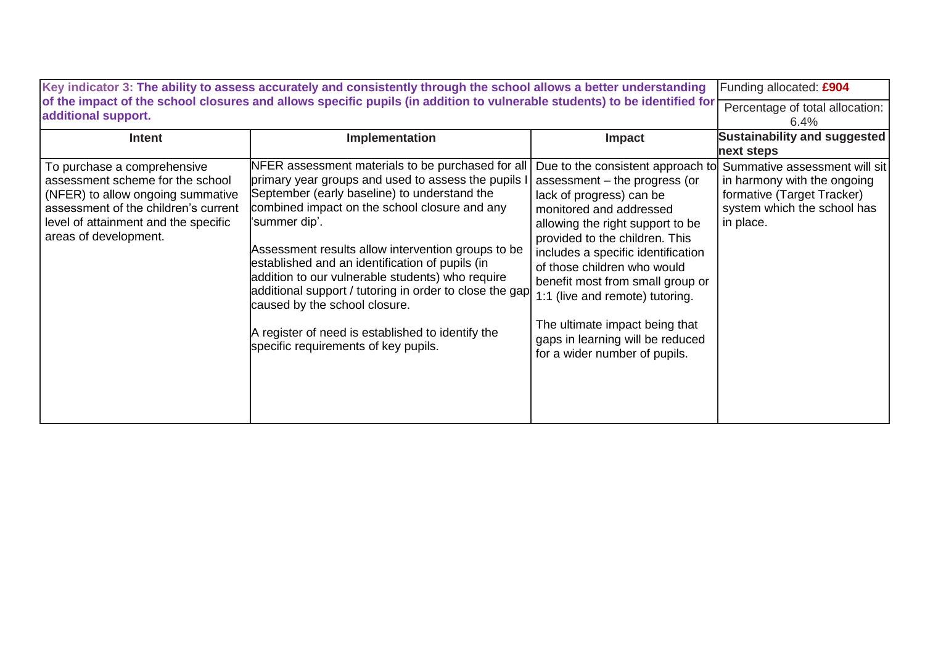| Key indicator 3: The ability to assess accurately and consistently through the school allows a better understanding<br>of the impact of the school closures and allows specific pupils (in addition to vulnerable students) to be identified for |                                                                                                                                                                                                                                                                                                                                                                                                                                                                                                                                                                                  |                                                                                                                                                                                                                                                                                                                                                                                                                                                    | Funding allocated: £904                                                                                                                |
|--------------------------------------------------------------------------------------------------------------------------------------------------------------------------------------------------------------------------------------------------|----------------------------------------------------------------------------------------------------------------------------------------------------------------------------------------------------------------------------------------------------------------------------------------------------------------------------------------------------------------------------------------------------------------------------------------------------------------------------------------------------------------------------------------------------------------------------------|----------------------------------------------------------------------------------------------------------------------------------------------------------------------------------------------------------------------------------------------------------------------------------------------------------------------------------------------------------------------------------------------------------------------------------------------------|----------------------------------------------------------------------------------------------------------------------------------------|
| additional support.                                                                                                                                                                                                                              | Percentage of total allocation:<br>6.4%                                                                                                                                                                                                                                                                                                                                                                                                                                                                                                                                          |                                                                                                                                                                                                                                                                                                                                                                                                                                                    |                                                                                                                                        |
| Intent                                                                                                                                                                                                                                           | Implementation                                                                                                                                                                                                                                                                                                                                                                                                                                                                                                                                                                   | Impact                                                                                                                                                                                                                                                                                                                                                                                                                                             | Sustainability and suggested<br>next steps                                                                                             |
| To purchase a comprehensive<br>assessment scheme for the school<br>(NFER) to allow ongoing summative<br>assessment of the children's current<br>level of attainment and the specific<br>areas of development.                                    | NFER assessment materials to be purchased for all<br>primary year groups and used to assess the pupils I<br>September (early baseline) to understand the<br>combined impact on the school closure and any<br>'summer dip'.<br>Assessment results allow intervention groups to be<br>established and an identification of pupils (in<br>addition to our vulnerable students) who require<br>additional support / tutoring in order to close the gap<br>caused by the school closure.<br>A register of need is established to identify the<br>specific requirements of key pupils. | Due to the consistent approach to<br>assessment - the progress (or<br>lack of progress) can be<br>monitored and addressed<br>allowing the right support to be<br>provided to the children. This<br>includes a specific identification<br>of those children who would<br>benefit most from small group or<br>1:1 (live and remote) tutoring.<br>The ultimate impact being that<br>gaps in learning will be reduced<br>for a wider number of pupils. | Summative assessment will sit<br>in harmony with the ongoing<br>formative (Target Tracker)<br>system which the school has<br>in place. |